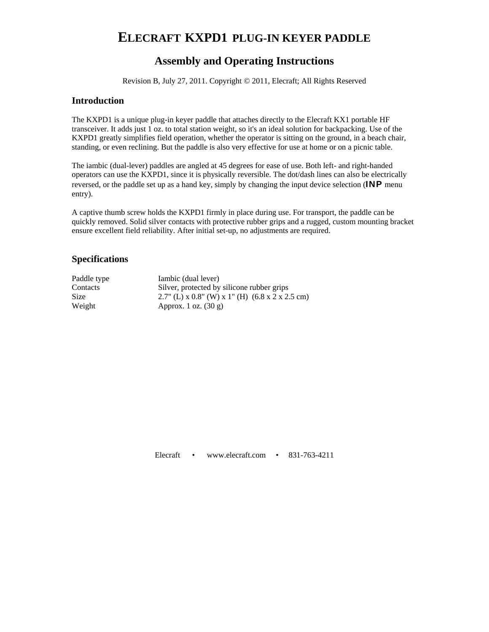# **ELECRAFT KXPD1 PLUG-IN KEYER PADDLE**

# **Assembly and Operating Instructions**

Revision B, July 27, 2011. Copyright © 2011, Elecraft; All Rights Reserved

# **Introduction**

The KXPD1 is a unique plug-in keyer paddle that attaches directly to the Elecraft KX1 portable HF transceiver. It adds just 1 oz. to total station weight, so it's an ideal solution for backpacking. Use of the KXPD1 greatly simplifies field operation, whether the operator is sitting on the ground, in a beach chair, standing, or even reclining. But the paddle is also very effective for use at home or on a picnic table.

The iambic (dual-lever) paddles are angled at 45 degrees for ease of use. Both left- and right-handed operators can use the KXPD1, since it is physically reversible. The dot/dash lines can also be electrically reversed, or the paddle set up as a hand key, simply by changing the input device selection (**INP** menu entry).

A captive thumb screw holds the KXPD1 firmly in place during use. For transport, the paddle can be quickly removed. Solid silver contacts with protective rubber grips and a rugged, custom mounting bracket ensure excellent field reliability. After initial set-up, no adjustments are required.

# **Specifications**

| Paddle type | Iambic (dual lever)                                                 |
|-------------|---------------------------------------------------------------------|
| Contacts    | Silver, protected by silicone rubber grips                          |
| Size        | 2.7" (L) x 0.8" (W) x 1" (H) $(6.8 \times 2 \times 2.5 \text{ cm})$ |
| Weight      | Approx. 1 oz. $(30 g)$                                              |

Elecraft • www.elecraft.com • 831-763-4211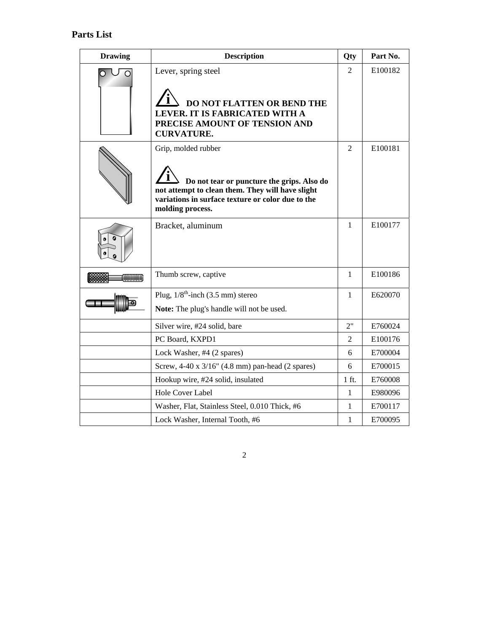| <b>Drawing</b> | <b>Description</b>                                                                                                                                                                             | Qty             | Part No. |
|----------------|------------------------------------------------------------------------------------------------------------------------------------------------------------------------------------------------|-----------------|----------|
| ∩              | Lever, spring steel<br><b>DO NOT FLATTEN OR BEND THE</b><br>LEVER. IT IS FABRICATED WITH A<br>PRECISE AMOUNT OF TENSION AND<br><b>CURVATURE.</b>                                               | $\mathfrak{D}$  | E100182  |
|                | Grip, molded rubber<br>Do not tear or puncture the grips. Also do<br>not attempt to clean them. They will have slight<br>variations in surface texture or color due to the<br>molding process. | $\overline{2}$  | E100181  |
|                | Bracket, aluminum                                                                                                                                                                              | 1               | E100177  |
| mmm            | Thumb screw, captive                                                                                                                                                                           | 1               | E100186  |
|                | Plug, $1/8^{\text{th}}$ -inch (3.5 mm) stereo<br>Note: The plug's handle will not be used.                                                                                                     | 1               | E620070  |
|                | Silver wire, #24 solid, bare                                                                                                                                                                   | 2"              | E760024  |
|                | PC Board, KXPD1                                                                                                                                                                                | $\overline{2}$  | E100176  |
|                | Lock Washer, #4 (2 spares)                                                                                                                                                                     | 6               | E700004  |
|                | Screw, 4-40 x 3/16" (4.8 mm) pan-head (2 spares)                                                                                                                                               | 6               | E700015  |
|                | Hookup wire, #24 solid, insulated                                                                                                                                                              | $1 \text{ ft.}$ | E760008  |
|                | Hole Cover Label                                                                                                                                                                               | 1               | E980096  |
|                | Washer, Flat, Stainless Steel, 0.010 Thick, #6                                                                                                                                                 | 1               | E700117  |
|                | Lock Washer, Internal Tooth, #6                                                                                                                                                                | 1               | E700095  |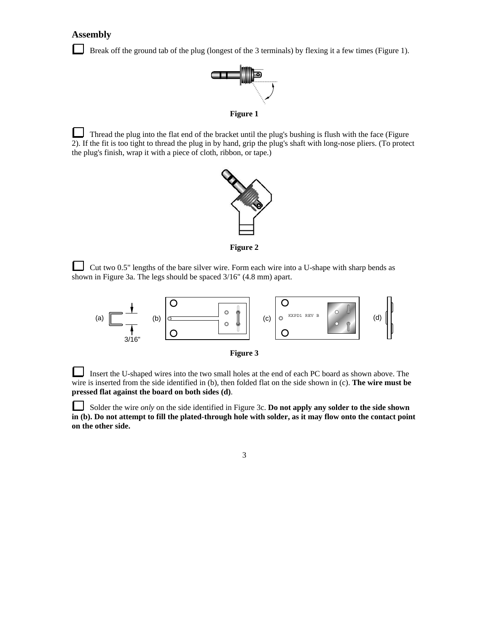# **Assembly**

Break off the ground tab of the plug (longest of the 3 terminals) by flexing it a few times (Figure 1).



**Figure 1** 

Thread the plug into the flat end of the bracket until the plug's bushing is flush with the face (Figure 2). If the fit is too tight to thread the plug in by hand, grip the plug's shaft with long-nose pliers. (To protect the plug's finish, wrap it with a piece of cloth, ribbon, or tape.)



**Figure 2** 

 Cut two 0.5" lengths of the bare silver wire. Form each wire into a U-shape with sharp bends as shown in Figure 3a. The legs should be spaced 3/16" (4.8 mm) apart.



 $\Box$  Insert the U-shaped wires into the two small holes at the end of each PC board as shown above. The wire is inserted from the side identified in (b), then folded flat on the side shown in (c). **The wire must be pressed flat against the board on both sides (d)**.

L Solder the wire *only* on the side identified in Figure 3c. **Do not apply any solder to the side shown in (b). Do not attempt to fill the plated-through hole with solder, as it may flow onto the contact point on the other side.**

3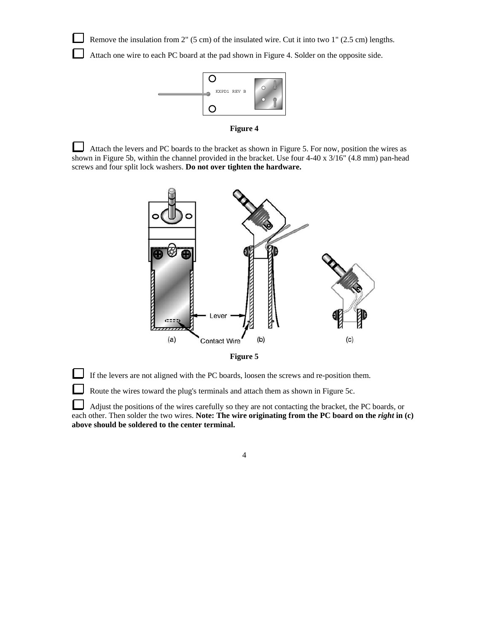Remove the insulation from 2" (5 cm) of the insulated wire. Cut it into two 1" (2.5 cm) lengths.

Attach one wire to each PC board at the pad shown in Figure 4. Solder on the opposite side.



**Figure 4**

 Attach the levers and PC boards to the bracket as shown in Figure 5. For now, position the wires as shown in Figure 5b, within the channel provided in the bracket. Use four 4-40 x 3/16" (4.8 mm) pan-head screws and four split lock washers. **Do not over tighten the hardware.** 



**Figure 5**

If the levers are not aligned with the PC boards, loosen the screws and re-position them.

Route the wires toward the plug's terminals and attach them as shown in Figure 5c.

└ Adjust the positions of the wires carefully so they are not contacting the bracket, the PC boards, or each other. Then solder the two wires. Note: The wire originating from the PC board on the *right* in (c) **above should be soldered to the center terminal.**

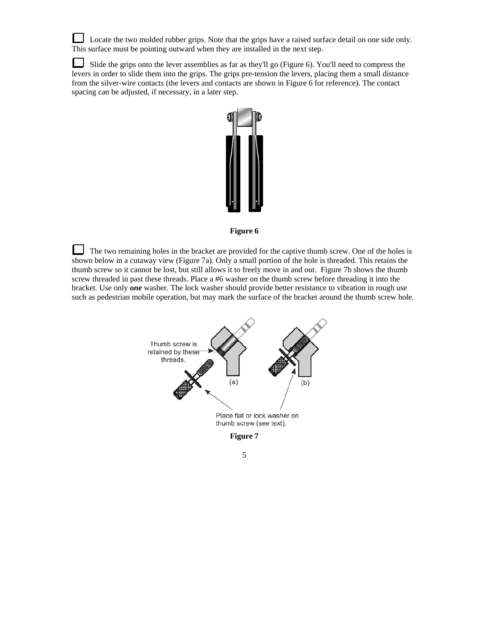Locate the two molded rubber grips. Note that the grips have a raised surface detail on one side only. This surface must be pointing outward when they are installed in the next step.

⊔ Slide the grips onto the lever assemblies as far as they'll go (Figure 6). You'll need to compress the levers in order to slide them into the grips. The grips pre-tension the levers, placing them a small distance from the silver-wire contacts (the levers and contacts are shown in Figure 6 for reference). The contact spacing can be adjusted, if necessary, in a later step.



#### **Figure 6**

 The two remaining holes in the bracket are provided for the captive thumb screw. One of the holes is shown below in a cutaway view (Figure 7a). Only a small portion of the hole is threaded. This retains the thumb screw so it cannot be lost, but still allows it to freely move in and out. Figure 7b shows the thumb screw threaded in past these threads. Place a #6 washer on the thumb screw before threading it into the bracket. Use only *one* washer. The lock washer should provide better resistance to vibration in rough use such as pedestrian mobile operation, but may mark the surface of the bracket around the thumb screw hole.



5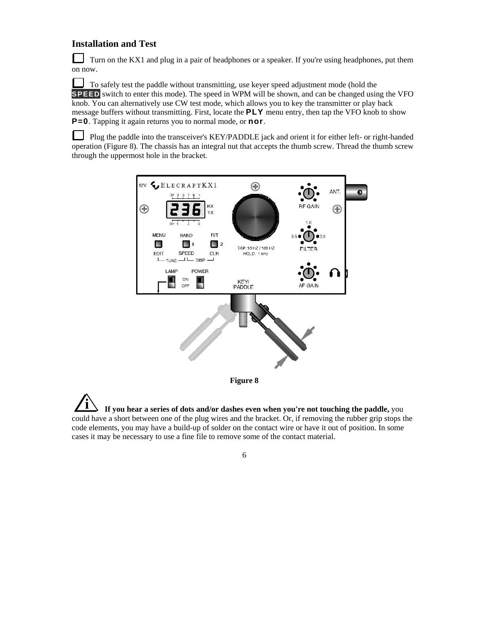# **Installation and Test**

 Turn on the KX1 and plug in a pair of headphones or a speaker. If you're using headphones, put them on now.

 To safely test the paddle without transmitting, use keyer speed adjustment mode (hold the **SPEED** switch to enter this mode). The speed in WPM will be shown, and can be changed using the VFO knob. You can alternatively use CW test mode, which allows you to key the transmitter or play back message buffers without transmitting. First, locate the **PLY** menu entry, then tap the VFO knob to show **P=0**. Tapping it again returns you to normal mode, or **nor**.

 $\Box$  Plug the paddle into the transceiver's KEY/PADDLE jack and orient it for either left- or right-handed operation (Figure 8). The chassis has an integral nut that accepts the thumb screw. Thread the thumb screw through the uppermost hole in the bracket.



**i If you hear a series of dots and/or dashes even when you're not touching the paddle,** you could have a short between one of the plug wires and the bracket. Or, if removing the rubber grip stops the code elements, you may have a build-up of solder on the contact wire or have it out of position. In some cases it may be necessary to use a fine file to remove some of the contact material.

 $\overline{6}$